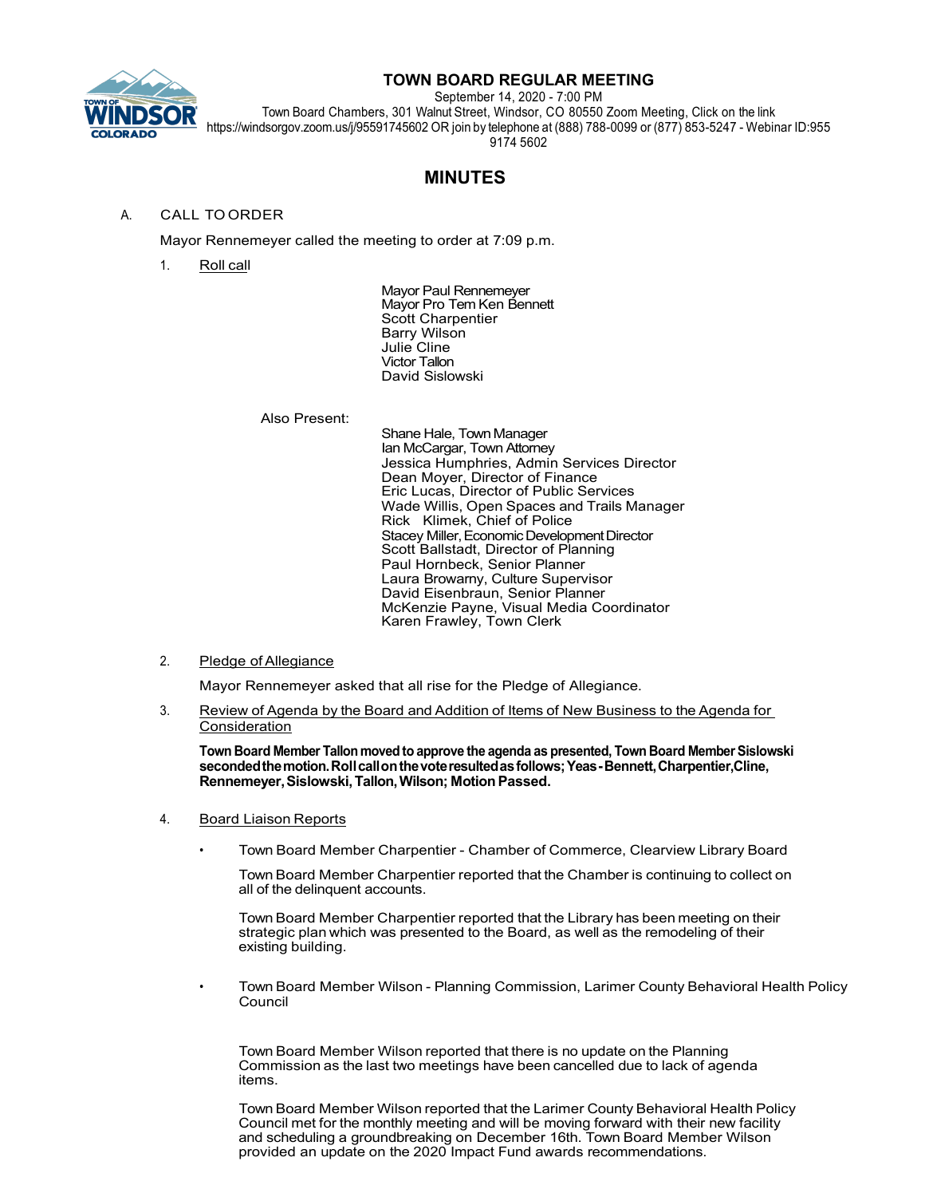

# **TOWN BOARD REGULAR MEETING**

September 14, 2020 - 7:00 PM

Town Board Chambers, 301 Walnut Street, Windsor, CO 80550 Zoom Meeting, Click on the link https://windsorgov.zoom.us/j/95591745602 OR join by telephone at (888) 788-0099 or (877) 853-5247 - Webinar ID:955 9174 5602

# **MINUTES**

# A. CALL TO ORDER

Mayor Rennemeyer called the meeting to order at 7:09 p.m.

1. Roll call

Mayor Paul Rennemeyer Mayor Pro Tem Ken Bennett Scott Charpentier Barry Wilson Julie Cline Victor Tallon David Sislowski

# Also Present:

Shane Hale, Town Manager Ian McCargar, Town Attorney Jessica Humphries, Admin Services Director Dean Moyer, Director of Finance Eric Lucas, Director of Public Services Wade Willis, Open Spaces and Trails Manager Rick Klimek, Chief of Police Stacey Miller, Economic Development Director Scott Ballstadt, Director of Planning Paul Hornbeck, Senior Planner Laura Browarny, Culture Supervisor David Eisenbraun, Senior Planner McKenzie Payne, Visual Media Coordinator Karen Frawley, Town Clerk

# 2. Pledge of Allegiance

Mayor Rennemeyer asked that all rise for the Pledge of Allegiance.

3. Review of Agenda by the Board and Addition of Items of New Business to the Agenda for Consideration

**Town Board Member Tallon moved to approve the agenda as presented, Town Board Member Sislowski secondedthemotion.Rollcallonthevoteresultedasfollows;Yeas-Bennett,Charpentier,Cline, Rennemeyer,Sislowski,Tallon,Wilson; MotionPassed.**

- 4. Board Liaison Reports
	- Town Board Member Charpentier Chamber of Commerce, Clearview Library Board

Town Board Member Charpentier reported that the Chamber is continuing to collect on all of the delinquent accounts.

TownBoard Member Charpentier reported that the Library has been meeting on their strategic plan which was presented to the Board, as well as the remodeling of their existing building.

• Town Board Member Wilson - Planning Commission, Larimer County Behavioral Health Policy Council

Town Board Member Wilson reported that there is no update on the Planning Commission as the last two meetings have been cancelled due to lack of agenda items.

TownBoard Member Wilson reported that the Larimer County Behavioral Health Policy Council met for the monthly meeting and will be moving forward with their new facility and scheduling a groundbreaking on December 16th. Town Board Member Wilson provided an update on the 2020 Impact Fund awards recommendations.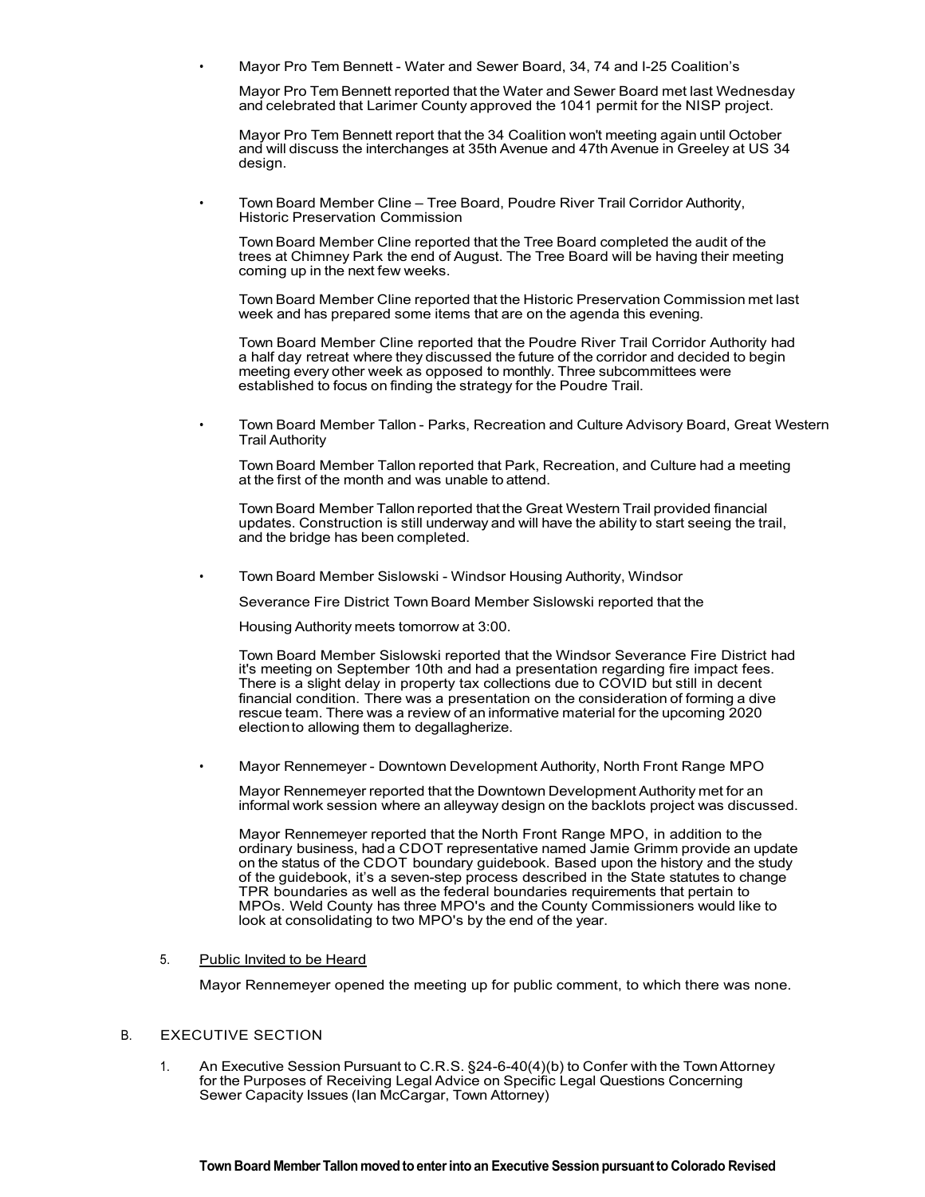• Mayor Pro Tem Bennett - Water and Sewer Board, 34, 74 and I-25 Coalition's

Mayor Pro Tem Bennett reported that the Water and Sewer Board met last Wednesday and celebrated that Larimer County approved the 1041 permit for the NISP project.

Mayor Pro Tem Bennett report that the 34 Coalition won't meeting again until October and will discuss the interchanges at 35th Avenue and 47th Avenue in Greeley at US 34 design.

• Town Board Member Cline – Tree Board, Poudre River Trail Corridor Authority, Historic Preservation Commission

Town Board Member Cline reported that the Tree Board completed the audit of the trees at Chimney Park the end of August. The Tree Board will be having their meeting coming up in the next few weeks.

TownBoard Member Cline reported that the Historic Preservation Commission met last week and has prepared some items that are on the agenda this evening.

Town Board Member Cline reported that the Poudre River Trail Corridor Authority had a half day retreat where they discussed the future of the corridor and decided to begin meeting every other week as opposed to monthly. Three subcommittees were established to focus on finding the strategy for the Poudre Trail.

• Town Board Member Tallon - Parks, Recreation and Culture Advisory Board, Great Western Trail Authority

Town Board Member Tallon reported that Park, Recreation, and Culture had a meeting at the first of the month and was unable to attend.

Town Board Member Tallon reported that the Great Western Trail provided financial updates. Construction is still underway and will have the ability to start seeing the trail, and the bridge has been completed.

• Town Board Member Sislowski - Windsor Housing Authority, Windsor

Severance Fire District TownBoard Member Sislowski reported that the

Housing Authority meets tomorrow at 3:00.

Town Board Member Sislowski reported that the Windsor Severance Fire District had it's meeting on September 10th and had a presentation regarding fire impact fees. There is a slight delay in property tax collections due to COVID but still in decent financial condition. There was a presentation on the consideration of forming a dive rescue team. There was a review of an informative material for the upcoming 2020 electionto allowing them to degallagherize.

• Mayor Rennemeyer - Downtown Development Authority, North Front Range MPO

Mayor Rennemeyer reported that the Downtown Development Authority met for an informal work session where an alleyway design on the backlots project was discussed.

Mayor Rennemeyer reported that the North Front Range MPO, in addition to the ordinary business, had a CDOT representative named Jamie Grimm provide an update on the status of the CDOT boundary guidebook. Based upon the history and the study of the guidebook, it's a seven-step process described in the State statutes to change TPR boundaries as well as the federal boundaries requirements that pertain to MPOs. Weld County has three MPO's and the County Commissioners would like to look at consolidating to two MPO's by the end of the year.

# 5. Public Invited to be Heard

Mayor Rennemeyer opened the meeting up for public comment, to which there was none.

# B. EXECUTIVE SECTION

1. An Executive Session Pursuant to C.R.S. §24-6-40(4)(b) to Confer with the TownAttorney for the Purposes of Receiving Legal Advice on Specific Legal Questions Concerning Sewer Capacity Issues (Ian McCargar, Town Attorney)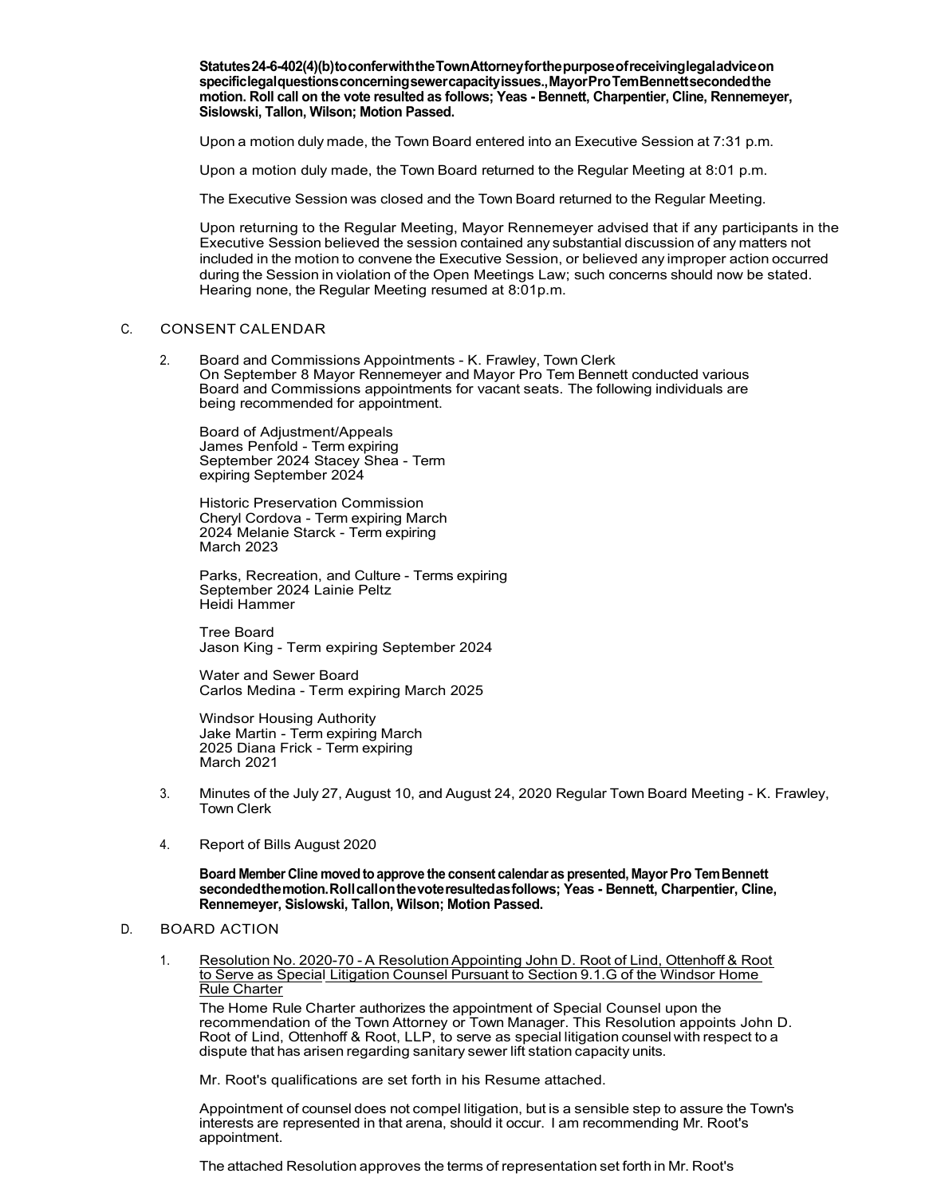**Statutes24-6-402(4)(b)toconferwiththeTownAttorneyforthepurposeofreceivinglegaladviceon specificlegalquestionsconcerningsewercapacityissues.,MayorProTemBennettsecondedthe motion. Roll call on the vote resulted as follows; Yeas - Bennett, Charpentier, Cline, Rennemeyer, Sislowski, Tallon, Wilson; Motion Passed.**

Upon a motion duly made, the Town Board entered into an Executive Session at 7:31 p.m.

Upon a motion duly made, the Town Board returned to the Regular Meeting at 8:01 p.m.

The Executive Session was closed and the Town Board returned to the Regular Meeting.

Upon returning to the Regular Meeting, Mayor Rennemeyer advised that if any participants in the Executive Session believed the session contained any substantial discussion of any matters not included in the motion to convene the Executive Session, or believed any improper action occurred during the Session in violation of the Open Meetings Law; such concerns should now be stated. Hearing none, the Regular Meeting resumed at 8:01p.m.

# C. CONSENT CALENDAR

2. Board and Commissions Appointments - K. Frawley, Town Clerk On September 8 Mayor Rennemeyer and Mayor Pro Tem Bennett conducted various Board and Commissions appointments for vacant seats. The following individuals are being recommended for appointment.

Board of Adjustment/Appeals James Penfold - Term expiring September 2024 Stacey Shea - Term expiring September 2024

Historic Preservation Commission Cheryl Cordova - Term expiring March 2024 Melanie Starck - Term expiring March 2023

Parks, Recreation, and Culture - Terms expiring September 2024 Lainie Peltz Heidi Hammer

Tree Board Jason King - Term expiring September 2024

Water and Sewer Board Carlos Medina - Term expiring March 2025

Windsor Housing Authority Jake Martin - Term expiring March 2025 Diana Frick - Term expiring March 2021

- 3. Minutes of the July 27, August 10, and August 24, 2020 Regular Town Board Meeting K. Frawley, Town Clerk
- 4. Report of Bills August 2020

**Board Member Cline moved to approve the consent calendar as presented, Mayor Pro TemBennett secondedthemotion.Rollcallonthevoteresultedasfollows; Yeas - Bennett, Charpentier, Cline, Rennemeyer, Sislowski, Tallon, Wilson; Motion Passed.**

# D. BOARD ACTION

1. Resolution No. 2020-70 - A Resolution Appointing John D. Root of Lind, Ottenhoff & Root to Serve as Special Litigation Counsel Pursuant to Section 9.1.G of the Windsor Home Rule Charter

The Home Rule Charter authorizes the appointment of Special Counsel upon the recommendation of the Town Attorney or Town Manager. This Resolution appoints John D. Root of Lind, Ottenhoff & Root, LLP, to serve as special litigation counsel with respect to a dispute that has arisen regarding sanitary sewer lift station capacity units.

Mr. Root's qualifications are set forth in his Resume attached.

Appointment of counsel does not compel litigation, but is a sensible step to assure the Town's interests are represented in that arena, should it occur. I am recommending Mr. Root's appointment.

The attached Resolution approves the terms of representation set forth in Mr. Root's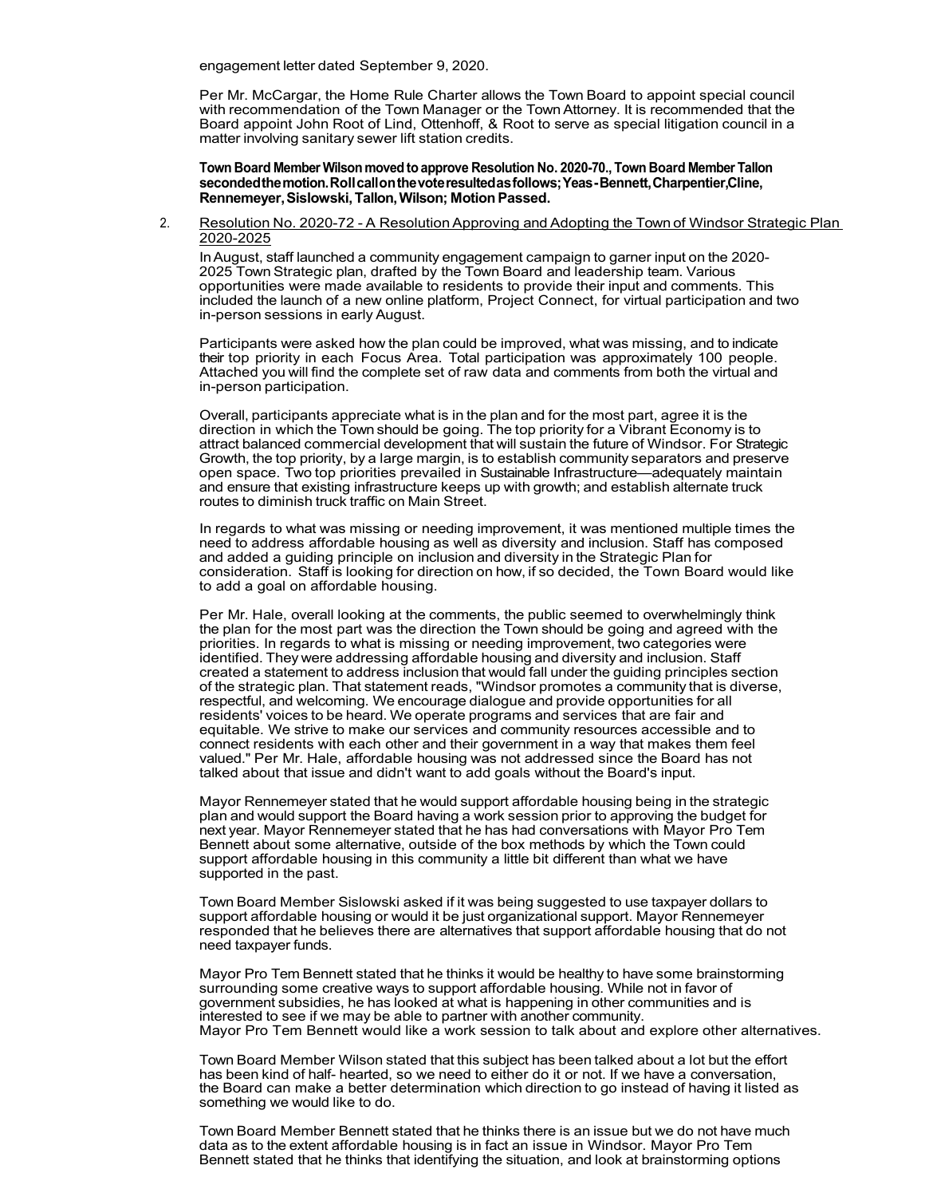engagement letter dated September 9, 2020.

Per Mr. McCargar, the Home Rule Charter allows the Town Board to appoint special council with recommendation of the Town Manager or the TownAttorney. It is recommended that the Board appoint John Root of Lind, Ottenhoff, & Root to serve as special litigation council in a matter involving sanitary sewer lift station credits.

**Town Board Member Wilson moved to approve Resolution No. 2020-70., Town Board Member Tallon secondedthemotion.Rollcallonthevoteresultedasfollows;Yeas-Bennett,Charpentier,Cline, Rennemeyer,Sislowski,Tallon,Wilson; MotionPassed.**

2. Resolution No. 2020-72 - A Resolution Approving and Adopting the Town of Windsor Strategic Plan 2020-2025

InAugust, staff launched a community engagement campaign to garner input on the 2020- 2025 Town Strategic plan, drafted by the Town Board and leadership team. Various opportunities were made available to residents to provide their input and comments. This included the launch of a new online platform, Project Connect, for virtual participation and two in-person sessions in early August.

Participants were asked how the plan could be improved, what was missing, and to indicate their top priority in each Focus Area. Total participation was approximately 100 people. Attached you will find the complete set of raw data and comments from both the virtual and in-person participation.

Overall, participants appreciate what is in the plan and for the most part, agree it is the direction in which the Town should be going. The top priority for a Vibrant Economy is to attract balanced commercial development that will sustain the future of Windsor. For Strategic Growth, the top priority, by a large margin, is to establish community separators and preserve open space. Two top priorities prevailed in Sustainable Infrastructure—adequately maintain and ensure that existing infrastructure keeps up with growth; and establish alternate truck routes to diminish truck traffic on Main Street.

In regards to what was missing or needing improvement, it was mentioned multiple times the need to address affordable housing as well as diversity and inclusion. Staff has composed and added a guiding principle on inclusion and diversity in the Strategic Plan for consideration. Staff is looking for direction on how, if so decided, the Town Board would like to add a goal on affordable housing.

Per Mr. Hale, overall looking at the comments, the public seemed to overwhelmingly think the plan for the most part was the direction the Town should be going and agreed with the priorities. In regards to what is missing or needing improvement, two categories were identified. They were addressing affordable housing and diversity and inclusion. Staff created a statement to address inclusion that would fall under the guiding principles section of the strategic plan. That statement reads, "Windsor promotes a community that is diverse, respectful, and welcoming. We encourage dialogue and provide opportunities for all residents' voices to be heard. We operate programs and services that are fair and equitable. We strive to make our services and community resources accessible and to connect residents with each other and their government in a way that makes them feel valued." Per Mr. Hale, affordable housing was not addressed since the Board has not talked about that issue and didn't want to add goals without the Board's input.

Mayor Rennemeyer stated that he would support affordable housing being in the strategic plan and would support the Board having a work session prior to approving the budget for next year. Mayor Rennemeyer stated that he has had conversations with Mayor Pro Tem Bennett about some alternative, outside of the box methods by which the Town could support affordable housing in this community a little bit different than what we have supported in the past.

Town Board Member Sislowski asked if it was being suggested to use taxpayer dollars to support affordable housing or would it be just organizational support. Mayor Rennemeyer responded that he believes there are alternatives that support affordable housing that do not need taxpayer funds.

Mayor Pro Tem Bennett stated that he thinks it would be healthy to have some brainstorming surrounding some creative ways to support affordable housing. While not in favor of government subsidies, he has looked at what is happening in other communities and is interested to see if we may be able to partner with another community. Mayor Pro Tem Bennett would like a work session to talk about and explore other alternatives.

Town Board Member Wilson stated that this subject has been talked about a lot but the effort has been kind of half- hearted, so we need to either do it or not. If we have a conversation, the Board can make a better determination which direction to go instead of having it listed as something we would like to do.

Town Board Member Bennett stated that he thinks there is an issue but we do not have much data as to the extent affordable housing is in fact an issue in Windsor. Mayor Pro Tem Bennett stated that he thinks that identifying the situation, and look at brainstorming options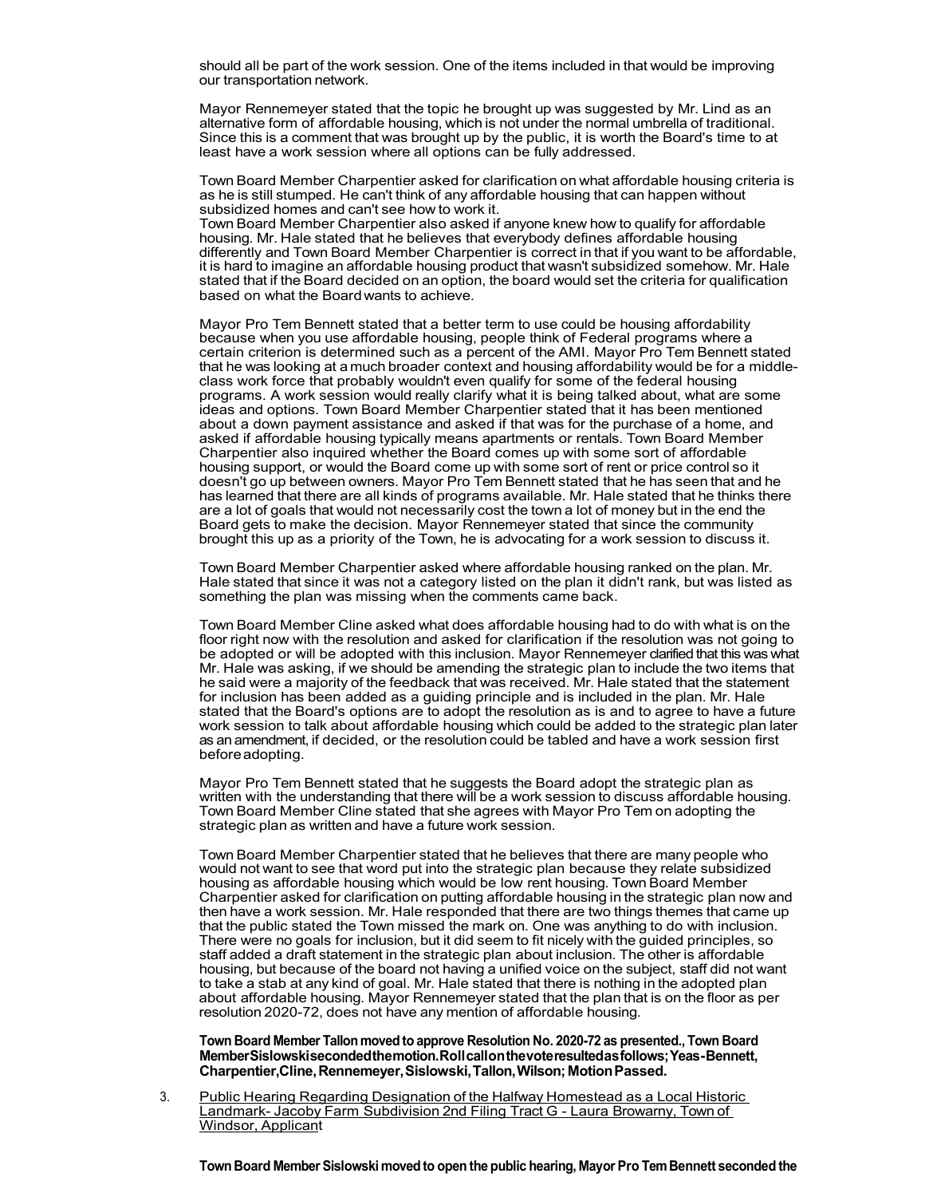should all be part of the work session. One of the items included in that would be improving our transportation network.

Mayor Rennemeyer stated that the topic he brought up was suggested by Mr. Lind as an alternative form of affordable housing, which is not under the normal umbrella of traditional. Since this is a comment that was brought up by the public, it is worth the Board's time to at least have a work session where all options can be fully addressed.

TownBoard Member Charpentier asked for clarification on what affordable housing criteria is as he is still stumped. He can't think of any affordable housing that can happen without subsidized homes and can't see how to work it.

Town Board Member Charpentier also asked if anyone knew how to qualify for affordable housing. Mr. Hale stated that he believes that everybody defines affordable housing differently and Town Board Member Charpentier is correct in that if you want to be affordable, it is hard to imagine an affordable housing product that wasn't subsidized somehow. Mr. Hale stated that if the Board decided on an option, the board would set the criteria for qualification based on what the Boardwants to achieve.

Mayor Pro Tem Bennett stated that a better term to use could be housing affordability because when you use affordable housing, people think of Federal programs where a certain criterion is determined such as a percent of the AMI. Mayor Pro Tem Bennett stated that he was looking at a much broader context and housing affordability would be for a middleclass work force that probably wouldn't even qualify for some of the federal housing programs. A work session would really clarify what it is being talked about, what are some ideas and options. Town Board Member Charpentier stated that it has been mentioned about a down payment assistance and asked if that was for the purchase of a home, and asked if affordable housing typically means apartments or rentals. Town Board Member Charpentier also inquired whether the Board comes up with some sort of affordable housing support, or would the Board come up with some sort of rent or price control so it doesn't go up between owners. Mayor Pro Tem Bennett stated that he has seen that and he has learned that there are all kinds of programs available. Mr. Hale stated that he thinks there are a lot of goals that would not necessarily cost the town a lot of money but in the end the Board gets to make the decision. Mayor Rennemeyer stated that since the community brought this up as a priority of the Town, he is advocating for a work session to discuss it.

TownBoard Member Charpentier asked where affordable housing ranked on the plan. Mr. Hale stated that since it was not a category listed on the plan it didn't rank, but was listed as something the plan was missing when the comments came back.

Town Board Member Cline asked what does affordable housing had to do with what is on the floor right now with the resolution and asked for clarification if the resolution was not going to be adopted or will be adopted with this inclusion. Mayor Rennemeyer clarified that this was what Mr. Hale was asking, if we should be amending the strategic plan to include the two items that he said were a majority of the feedback that was received. Mr. Hale stated that the statement for inclusion has been added as a guiding principle and is included in the plan. Mr. Hale stated that the Board's options are to adopt the resolution as is and to agree to have a future work session to talk about affordable housing which could be added to the strategic plan later as an amendment, if decided, or the resolution could be tabled and have a work session first before adopting.

Mayor Pro Tem Bennett stated that he suggests the Board adopt the strategic plan as written with the understanding that there will be a work session to discuss affordable housing. Town Board Member Cline stated that she agrees with Mayor Pro Tem on adopting the strategic plan as written and have a future work session.

TownBoard Member Charpentier stated that he believes that there are many people who would not want to see that word put into the strategic plan because they relate subsidized housing as affordable housing which would be low rent housing. Town Board Member Charpentier asked for clarification on putting affordable housing in the strategic plan now and then have a work session. Mr. Hale responded that there are two things themes that came up that the public stated the Town missed the mark on. One was anything to do with inclusion. There were no goals for inclusion, but it did seem to fit nicely with the guided principles, so staff added a draft statement in the strategic plan about inclusion. The other is affordable housing, but because of the board not having a unified voice on the subject, staff did not want to take a stab at any kind of goal. Mr. Hale stated that there is nothing in the adopted plan about affordable housing. Mayor Rennemeyer stated that the plan that is on the floor as per resolution 2020-72, does not have any mention of affordable housing.

**Town Board Member Tallon moved to approve Resolution No. 2020-72 as presented., Town Board MemberSislowskisecondedthemotion.Rollcallonthevoteresultedasfollows;Yeas-Bennett,**  Charpentier, Cline, Rennemeyer, Sislowski, Tallon, Wilson; Motion Passed.

3. Public Hearing Regarding Designation of the Halfway Homestead as a Local Historic Landmark- Jacoby Farm Subdivision 2nd Filing Tract G - Laura Browarny, Town of Windsor, Applicant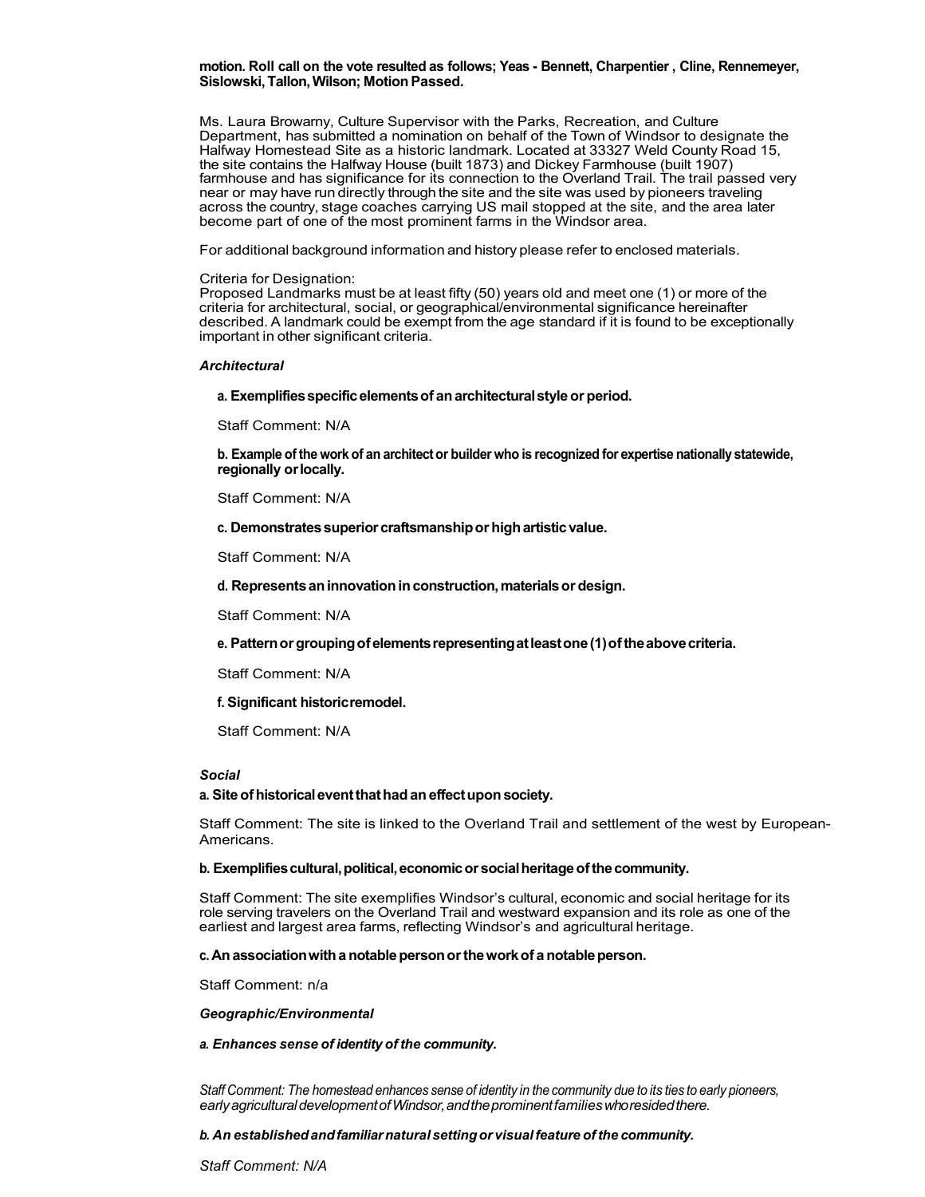# **motion. Roll call on the vote resulted as follows; Yeas - Bennett, Charpentier , Cline, Rennemeyer, Sislowski,Tallon,Wilson; MotionPassed.**

Ms. Laura Browarny, Culture Supervisor with the Parks, Recreation, and Culture Department, has submitted a nomination on behalf of the Town of Windsor to designate the Halfway Homestead Site as a historic landmark. Located at 33327 Weld County Road 15, the site contains the Halfway House (built 1873) and Dickey Farmhouse (built 1907) farmhouse and has significance for its connection to the Overland Trail. The trail passed very near or may have run directly through the site and the site was used by pioneers traveling across the country, stage coaches carrying US mail stopped at the site, and the area later become part of one of the most prominent farms in the Windsor area.

For additional background information and history please refer to enclosed materials.

#### Criteria for Designation:

Proposed Landmarks must be at least fifty (50) years old and meet one (1) or more of the criteria for architectural, social, or geographical/environmental significance hereinafter described. A landmark could be exempt from the age standard if it is found to be exceptionally important in other significant criteria.

## *Architectural*

### **a. Exemplifiesspecificelementsof anarchitecturalstyleor period.**

Staff Comment: N/A

**b. Example of the work of an architector builder who is recognized for expertise nationally statewide, regionally orlocally.**

Staff Comment: N/A

**c. Demonstratessuperiorcraftsmanshipor highartisticvalue.**

Staff Comment: N/A

**d. Representsaninnovationinconstruction,materialsor design.**

Staff Comment: N/A

# **e. Patternorgroupingofelementsrepresentingatleastone(1)oftheabovecriteria.**

Staff Comment: N/A

# **f. Significant historicremodel.**

Staff Comment: N/A

# *Social*

# **a. Site ofhistoricaleventthathadan effectupon society.**

Staff Comment: The site is linked to the Overland Trail and settlement of the west by European-Americans.

# **b. Exemplifiescultural,political,economicor socialheritageofthecommunity.**

Staff Comment: The site exemplifies Windsor's cultural, economic and social heritage for its role serving travelers on the Overland Trail and westward expansion and its role as one of the earliest and largest area farms, reflecting Windsor's and agricultural heritage.

# **c. Anassociationwitha notablepersonortheworkof a notableperson.**

Staff Comment: n/a

# *Geographic/Environmental*

*a. Enhances sense of identity of the community.*

Staff Comment: The homestead enhances sense of identity in the community due to its ties to early pioneers, *earlyagriculturaldevelopmentofWindsor,andtheprominentfamilieswhoresidedthere.*

#### *b. An establishedandfamiliarnatural settingor visualfeature ofthe community.*

*Staff Comment: N/A*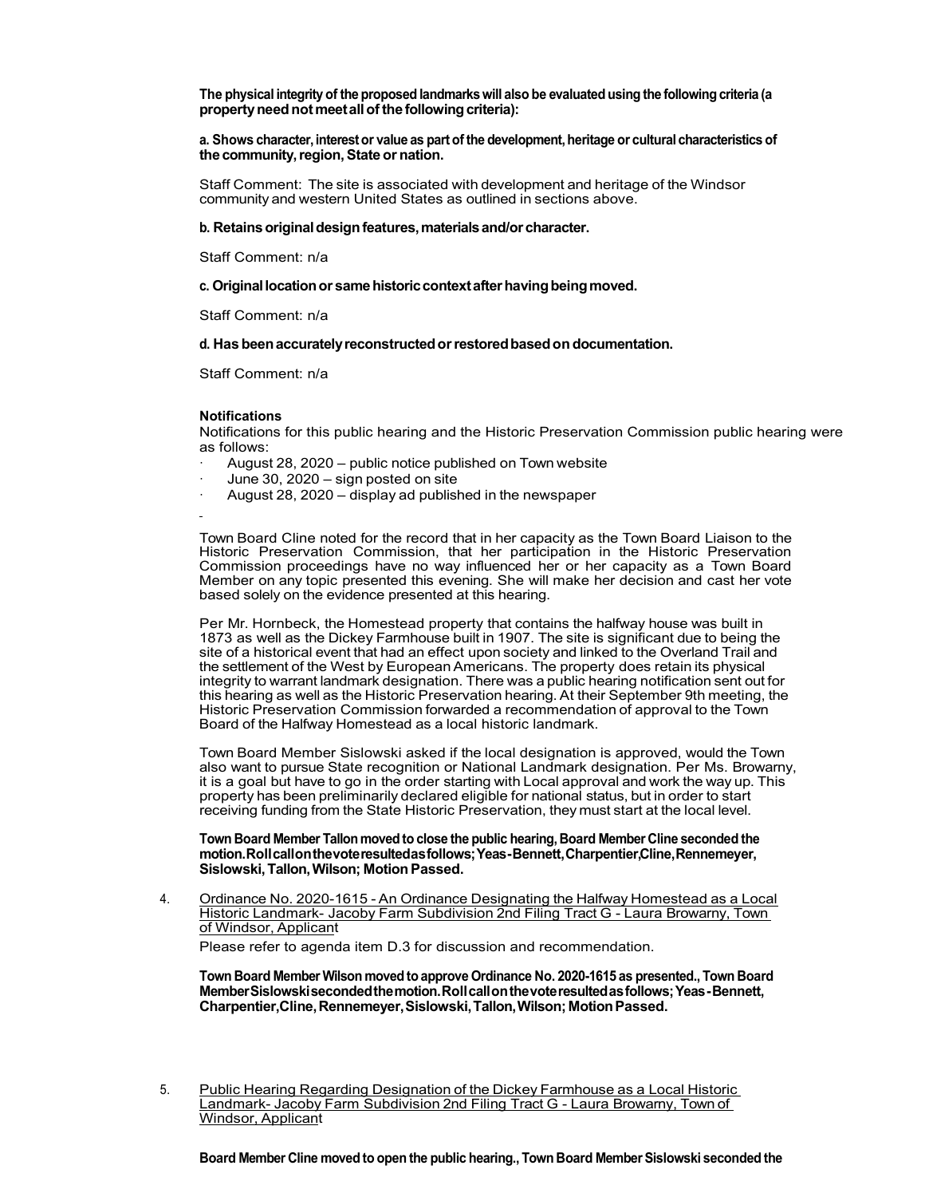**The physical integrity of the proposed landmarkswill also be evaluated using the following criteria (a propertyneednotmeetallofthe followingcriteria):**

**a. Shows character,interest or value as part of the development,heritage or cultural characteristicsof the community, region, State or nation.** 

Staff Comment: The site is associated with development and heritage of the Windsor community and western United States as outlined in sections above.

#### **b. Retainsoriginaldesignfeatures,materialsand/or character.**

Staff Comment: n/a

#### **c. Originallocationor samehistoriccontextafterhavingbeingmoved.**

Staff Comment: n/a

#### **d. Has beenaccuratelyreconstructedorrestoredbasedon documentation.**

Staff Comment: n/a

#### **Notifications**

Notifications for this public hearing and the Historic Preservation Commission public hearing were as follows:

- August 28, 2020 public notice published on Town website
- June 30,  $2020 -$  sign posted on site
- August 28, 2020 display ad published in the newspaper

Town Board Cline noted for the record that in her capacity as the Town Board Liaison to the Historic Preservation Commission, that her participation in the Historic Preservation Commission proceedings have no way influenced her or her capacity as a Town Board Member on any topic presented this evening. She will make her decision and cast her vote based solely on the evidence presented at this hearing.

Per Mr. Hornbeck, the Homestead property that contains the halfway house was built in 1873 as well as the Dickey Farmhouse built in 1907. The site is significant due to being the site of a historical event that had an effect upon society and linked to the Overland Trail and the settlement of the West by EuropeanAmericans. The property does retain its physical integrity to warrant landmark designation. There was a public hearing notification sent out for this hearing as well as the Historic Preservation hearing. At their September 9th meeting, the Historic Preservation Commission forwarded a recommendation of approval to the Town Board of the Halfway Homestead as a local historic landmark.

Town Board Member Sislowski asked if the local designation is approved, would the Town also want to pursue State recognition or National Landmark designation. Per Ms. Browarny, it is a goal but have to go in the order starting with Local approval and work the way up. This property has been preliminarily declared eligible for national status, but in order to start receiving funding from the State Historic Preservation, they must start at the local level.

# **Town Board Member Tallon moved to close the public hearing, Board Member Cline seconded the motion.Rollcallonthevoteresultedasfollows;Yeas-Bennett,Charpentier,Cline,Rennemeyer, Sislowski,Tallon,Wilson; MotionPassed.**

4. Ordinance No. 2020-1615 - An Ordinance Designating the Halfway Homestead as a Local Historic Landmark- Jacoby Farm Subdivision 2nd Filing Tract G - Laura Browarny, Town of Windsor, Applicant

Please refer to agenda item D.3 for discussion and recommendation.

**Town Board Member Wilson moved to approve Ordinance No. 2020-1615 as presented., Town Board MemberSislowskisecondedthemotion.Rollcallonthevoteresultedasfollows;Yeas-Bennett,**  Charpentier, Cline, Rennemeyer, Sislowski, Tallon, Wilson; Motion Passed.

5. Public Hearing Regarding Designation of the Dickey Farmhouse as a Local Historic Landmark- Jacoby Farm Subdivision 2nd Filing Tract G - Laura Browarny, Town of Windsor, Applicant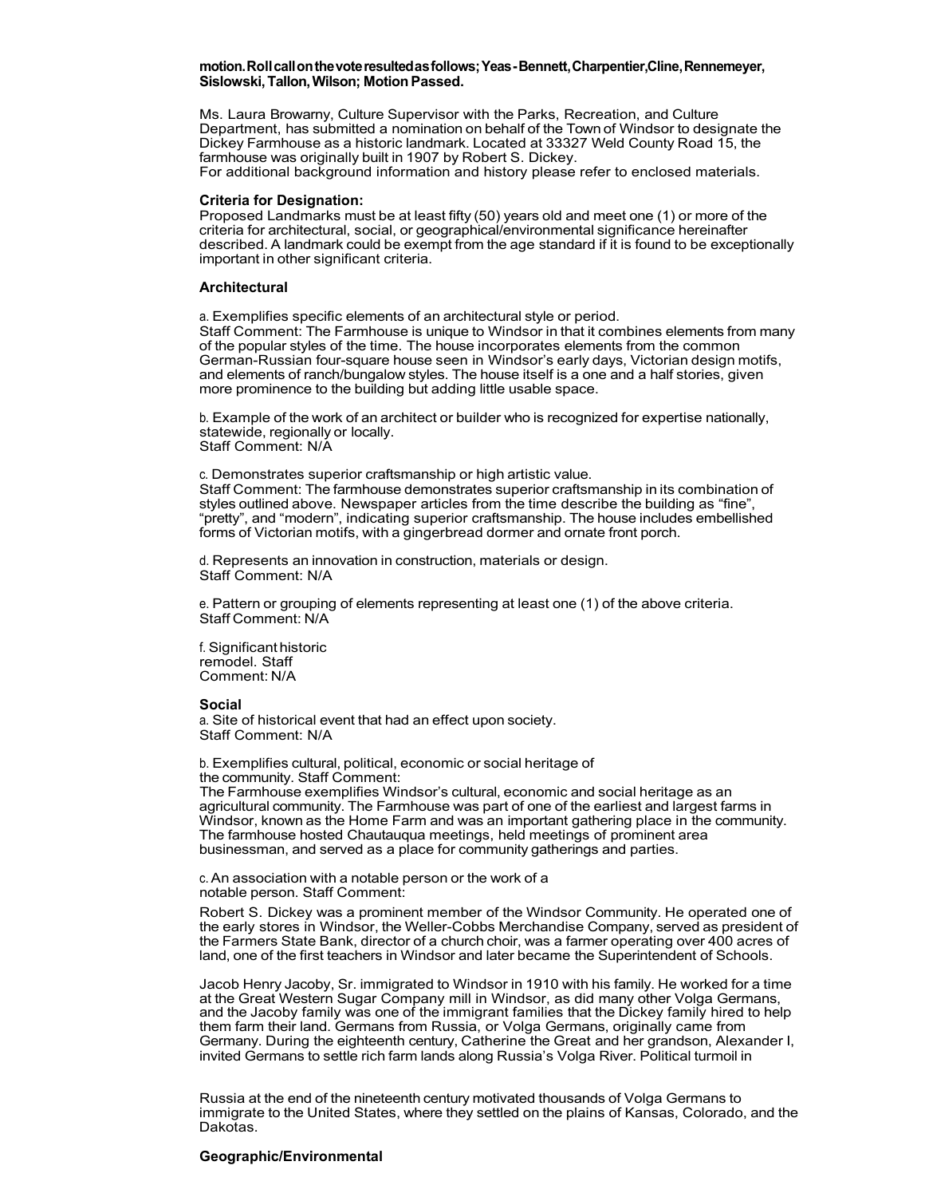#### **motion.Rollcallonthevoteresultedasfollows;Yeas-Bennett,Charpentier,Cline,Rennemeyer, Sislowski,Tallon,Wilson; MotionPassed.**

Ms. Laura Browarny, Culture Supervisor with the Parks, Recreation, and Culture Department, has submitted a nomination on behalf of the Town of Windsor to designate the Dickey Farmhouse as a historic landmark. Located at 33327 Weld County Road 15, the farmhouse was originally built in 1907 by Robert S. Dickey.

For additional background information and history please refer to enclosed materials.

# **Criteria for Designation:**

Proposed Landmarks must be at least fifty (50) years old and meet one (1) or more of the criteria for architectural, social, or geographical/environmental significance hereinafter described. A landmark could be exempt from the age standard if it is found to be exceptionally important in other significant criteria.

## **Architectural**

a. Exemplifies specific elements of an architectural style or period. Staff Comment: The Farmhouse is unique to Windsor in that it combines elements from many of the popular styles of the time. The house incorporates elements from the common German-Russian four-square house seen in Windsor's early days, Victorian design motifs, and elements of ranch/bungalow styles. The house itself is a one and a half stories, given more prominence to the building but adding little usable space.

b. Example of the work of an architect or builder who is recognized for expertise nationally, statewide, regionally or locally. Staff Comment: N/A

c. Demonstrates superior craftsmanship or high artistic value. Staff Comment: The farmhouse demonstrates superior craftsmanship in its combination of styles outlined above. Newspaper articles from the time describe the building as "fine", "pretty", and "modern", indicating superior craftsmanship. The house includes embellished forms of Victorian motifs, with a gingerbread dormer and ornate front porch.

d. Represents an innovation in construction, materials or design. Staff Comment: N/A

e. Pattern or grouping of elements representing at least one (1) of the above criteria. Staff Comment: N/A

f. Significant historic remodel. Staff Comment: N/A

#### **Social**

a. Site of historical event that had an effect upon society. Staff Comment: N/A

b. Exemplifies cultural, political, economic or social heritage of the community. Staff Comment:

The Farmhouse exemplifies Windsor's cultural, economic and social heritage as an agricultural community. The Farmhouse was part of one of the earliest and largest farms in Windsor, known as the Home Farm and was an important gathering place in the community. The farmhouse hosted Chautauqua meetings, held meetings of prominent area businessman, and served as a place for community gatherings and parties.

c.An association with a notable person or the work of a notable person. Staff Comment:

Robert S. Dickey was a prominent member of the Windsor Community. He operated one of the early stores in Windsor, the Weller-Cobbs Merchandise Company, served as president of the Farmers State Bank, director of a church choir, was a farmer operating over 400 acres of land, one of the first teachers in Windsor and later became the Superintendent of Schools.

Jacob Henry Jacoby, Sr. immigrated to Windsor in 1910 with his family. He worked for a time at the Great Western Sugar Company mill in Windsor, as did many other Volga Germans, and the Jacoby family was one of the immigrant families that the Dickey family hired to help them farm their land. Germans from Russia, or Volga Germans, originally came from Germany. During the eighteenth century, Catherine the Great and her grandson, Alexander I, invited Germans to settle rich farm lands along Russia's Volga River. Political turmoil in

Russia at the end of the nineteenth century motivated thousands of Volga Germans to immigrate to the United States, where they settled on the plains of Kansas, Colorado, and the Dakotas.

# **Geographic/Environmental**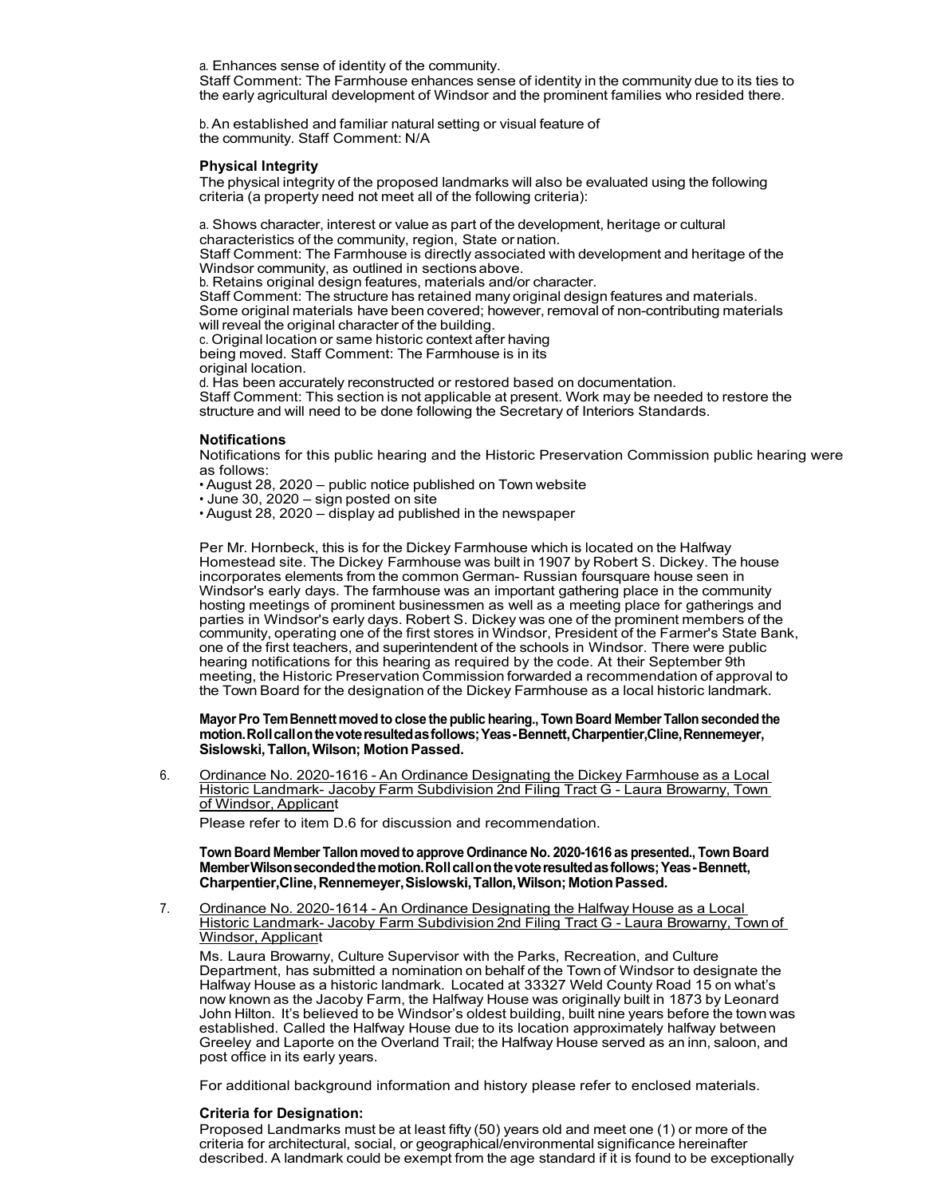a. Enhances sense of identity of the community.

Staff Comment: The Farmhouse enhances sense of identity in the community due to its ties to the early agricultural development of Windsor and the prominent families who resided there.

b.An established and familiar natural setting or visual feature of the community. Staff Comment: N/A

# **Physical Integrity**

The physical integrity of the proposed landmarks will also be evaluated using the following criteria (a property need not meet all of the following criteria):

a. Shows character, interest or value as part of the development, heritage or cultural characteristics of the community, region, State or nation.

Staff Comment: The Farmhouse is directly associated with development and heritage of the Windsor community, as outlined in sections above.

b. Retains original design features, materials and/or character.

Staff Comment: The structure has retained many original design features and materials. Some original materials have been covered; however, removal of non-contributing materials will reveal the original character of the building.

c. Original location or same historic context after having being moved. Staff Comment: The Farmhouse is in its original location.

d. Has been accurately reconstructed or restored based on documentation. Staff Comment: This section is not applicable at present. Work may be needed to restore the structure and will need to be done following the Secretary of Interiors Standards.

# **Notifications**

Notifications for this public hearing and the Historic Preservation Commission public hearing were as follows:

• August 28, 2020 – public notice published on Town website

• June 30, 2020 – sign posted on site

• August 28, 2020 – display ad published in the newspaper

Per Mr. Hornbeck, this is for the Dickey Farmhouse which is located on the Halfway Homestead site. The Dickey Farmhouse was built in 1907 by Robert S. Dickey. The house incorporates elements from the common German- Russian foursquare house seen in Windsor's early days. The farmhouse was an important gathering place in the community hosting meetings of prominent businessmen as well as a meeting place for gatherings and parties in Windsor's early days. Robert S. Dickey was one of the prominent members of the community, operating one of the first stores in Windsor, President of the Farmer's State Bank, one of the first teachers, and superintendent of the schools in Windsor. There were public hearing notifications for this hearing as required by the code. At their September 9th meeting, the Historic Preservation Commission forwarded a recommendation of approval to the Town Board for the designation of the Dickey Farmhouse as a local historic landmark.

**Mayor Pro TemBennett moved to close the public hearing., Town Board Member Tallon seconded the motion.Rollcallonthevoteresultedasfollows;Yeas-Bennett,Charpentier,Cline,Rennemeyer, Sislowski,Tallon,Wilson; MotionPassed.**

6. Ordinance No. 2020-1616 - An Ordinance Designating the Dickey Farmhouse as a Local Historic Landmark- Jacoby Farm Subdivision 2nd Filing Tract G - Laura Browarny, Town of Windsor, Applicant

Please refer to item D.6 for discussion and recommendation.

**Town Board Member Tallon moved to approve Ordinance No. 2020-1616 as presented., Town Board MemberWilsonsecondedthemotion.Rollcallonthevoteresultedasfollows;Yeas-Bennett, Charpentier,Cline,Rennemeyer,Sislowski,Tallon,Wilson;MotionPassed.**

7. Ordinance No. 2020-1614 - An Ordinance Designating the Halfway House as a Local Historic Landmark- Jacoby Farm Subdivision 2nd Filing Tract G - Laura Browarny, Town of Windsor, Applicant

Ms. Laura Browarny, Culture Supervisor with the Parks, Recreation, and Culture Department, has submitted a nomination on behalf of the Town of Windsor to designate the Halfway House as a historic landmark. Located at 33327 Weld County Road 15 on what's now known as the Jacoby Farm, the Halfway House was originally built in 1873 by Leonard John Hilton. It's believed to be Windsor's oldest building, built nine years before the town was established. Called the Halfway House due to its location approximately halfway between Greeley and Laporte on the Overland Trail; the Halfway House served as an inn, saloon, and post office in its early years.

For additional background information and history please refer to enclosed materials.

# **Criteria for Designation:**

Proposed Landmarks must be at least fifty (50) years old and meet one (1) or more of the criteria for architectural, social, or geographical/environmental significance hereinafter described. A landmark could be exempt from the age standard if it is found to be exceptionally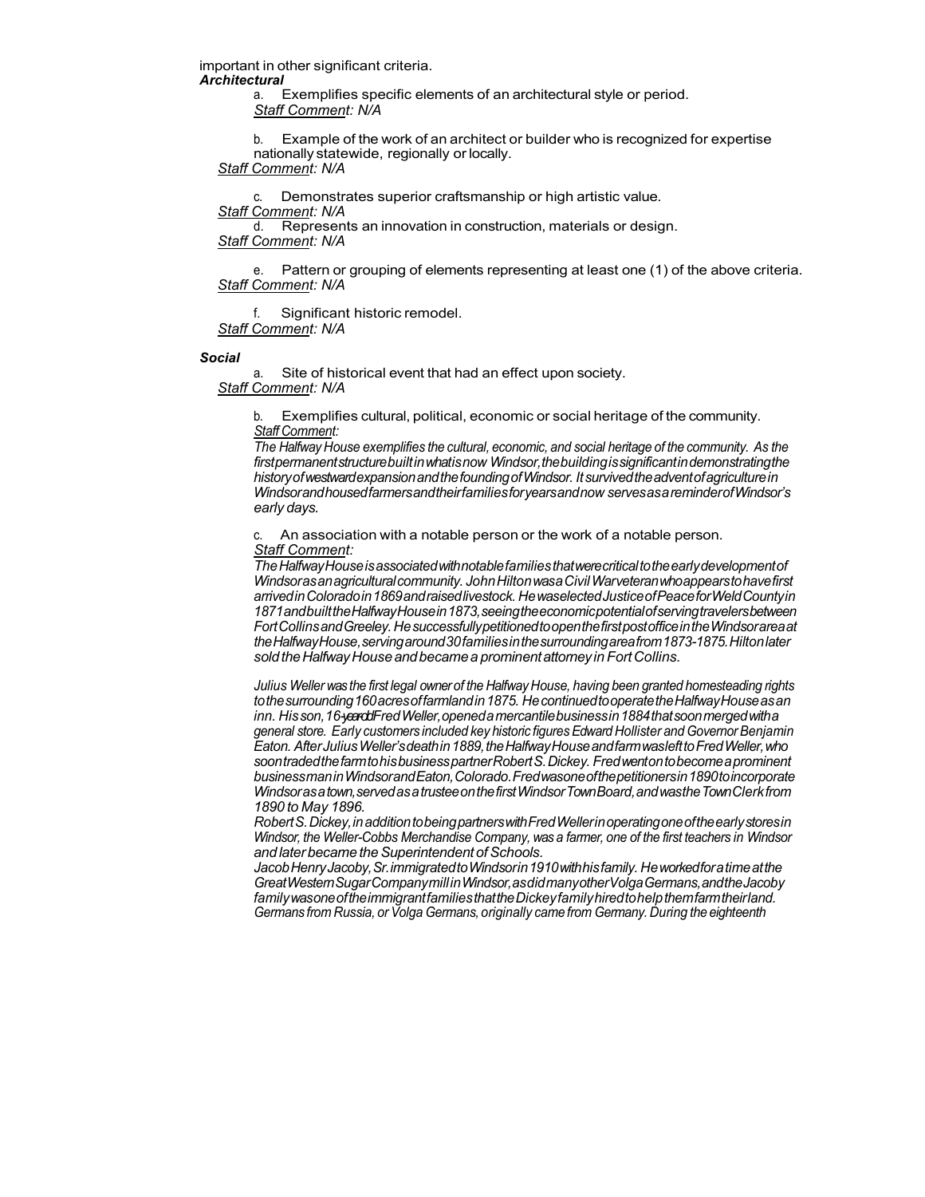important in other significant criteria. *Architectural*

> a. Exemplifies specific elements of an architectural style or period. *Staff Comment: N/A*

b. Example of the work of an architect or builder who is recognized for expertise nationally statewide, regionally or locally.

*Staff Comment: N/A*

Demonstrates superior craftsmanship or high artistic value. *Staff Comment: N/A*

d. Represents an innovation in construction, materials or design. *Staff Comment: N/A*

e. Pattern or grouping of elements representing at least one (1) of the above criteria. *Staff Comment: N/A*

f. Significant historic remodel. *Staff Comment: N/A*

#### *Social*

a. Site of historical event that had an effect upon society. *Staff Comment: N/A*

b. Exemplifies cultural, political, economic or social heritage of the community. *Staff Comment:*

*The Halfway House exemplifies the cultural, economic, and social heritage of the community. As the firstpermanentstructurebuiltinwhatisnow Windsor,thebuildingissignificantindemonstratingthe historyofwestwardexpansionandthefoundingofWindsor. Itsurvivedtheadventofagriculturein Windsorandhousedfarmersandtheirfamiliesforyearsandnow servesasareminderofWindsor's early days.*

c. An association with a notable person or the work of a notable person. *Staff Comment:*

*TheHalfwayHouseisassociatedwithnotablefamiliesthatwerecriticaltotheearlydevelopmentof Windsorasanagriculturalcommunity. JohnHiltonwasaCivilWarveteranwhoappearstohavefirst arrivedinColoradoin1869andraisedlivestock. HewaselectedJusticeofPeaceforWeldCountyin 1871andbuilttheHalfwayHousein1873,seeingtheeconomicpotentialofservingtravelersbetween FortCollinsandGreeley. HesuccessfullypetitionedtoopenthefirstpostofficeintheWindsorareaat theHalfwayHouse,servingaround30familiesinthesurroundingareafrom1873-1875.Hiltonlater soldtheHalfwayHouseandbecamea prominentattorneyin FortCollins.*

*Julius Weller was the first legal ownerof the Halfway House, having been granted homesteading rights tothesurrounding160acresoffarmlandin1875. HecontinuedtooperatetheHalfwayHouseasan*  inn. His son, 16-yearddFred Weller, opened a mercantile business in 1884 that soon merged with a *general store. Early customers included key historic figuresEdward Hollister and GovernorBenjamin Eaton. AfterJuliusWeller'sdeathin1889,theHalfwayHouseandfarmwaslefttoFredWeller,who soontradedthefarmtohisbusinesspartnerRobertS.Dickey. Fredwentontobecomeaprominent businessmaninWindsorandEaton,Colorado.Fredwasoneofthepetitionersin1890toincorporate Windsorasatown,servedasatrusteeonthefirstWindsorTownBoard,andwastheTownClerkfrom 1890 to May 1896.*

*RobertS.Dickey,inadditiontobeingpartnerswithFredWellerinoperatingoneoftheearlystoresin Windsor, the Weller-Cobbs Merchandise Company, was a farmer, one of the first teachers in Windsor and laterbecame theSuperintendentofSchools.*

*JacobHenryJacoby,Sr.immigratedtoWindsorin1910withhisfamily. Heworkedforatimeatthe GreatWesternSugarCompanymillinWindsor,asdidmanyotherVolgaGermans,andtheJacoby familywasoneoftheimmigrantfamiliesthattheDickeyfamilyhiredtohelpthemfarmtheirland. Germans from Russia, or Volga Germans, originally came from Germany. During the eighteenth*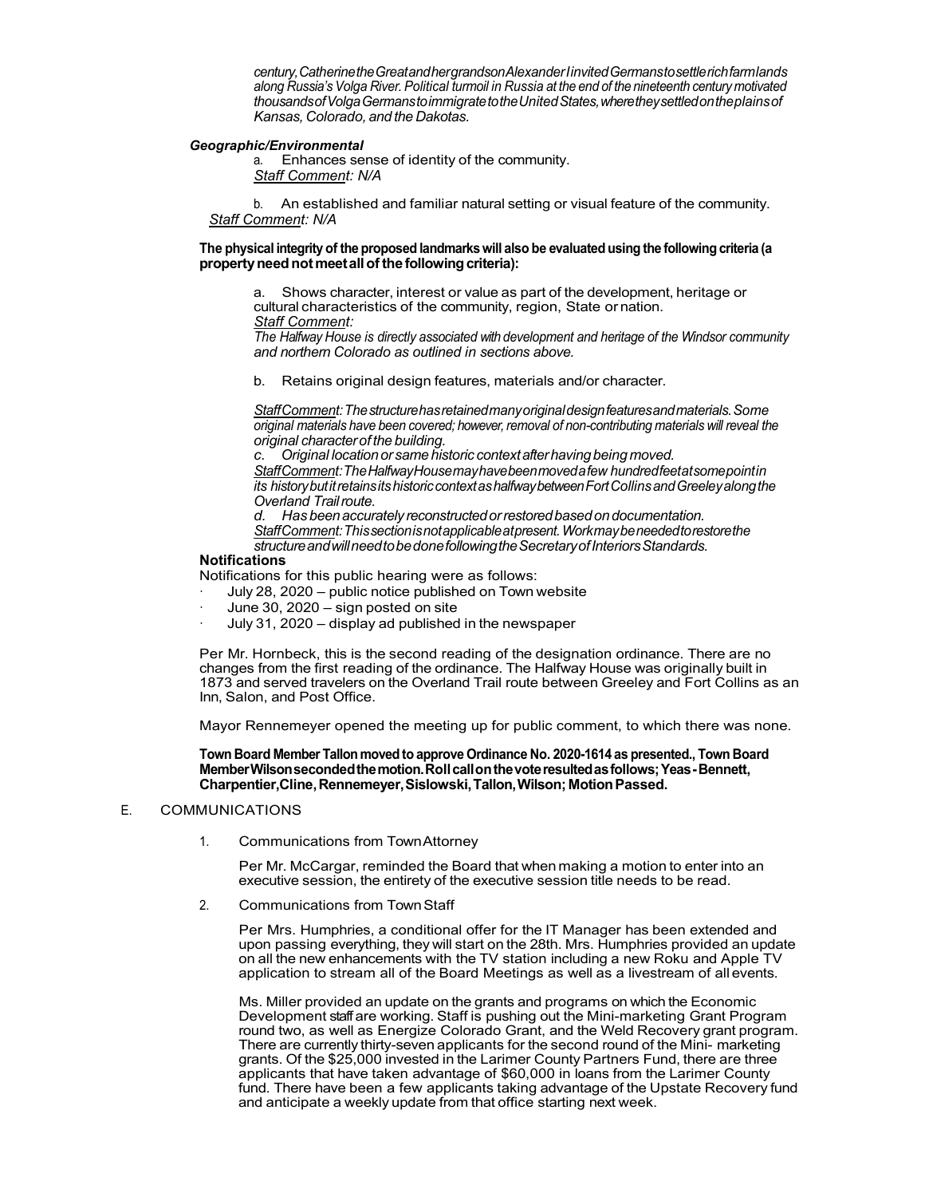*century,CatherinetheGreatandhergrandsonAlexanderIinvitedGermanstosettlerichfarmlands along Russia's Volga River. Political turmoil in Russia at the end of the nineteenth century motivated thousandsofVolgaGermanstoimmigratetotheUnitedStates,wheretheysettledontheplainsof Kansas, Colorado, and the Dakotas.*

## *Geographic/Environmental*

a. Enhances sense of identity of the community. *Staff Comment: N/A*

b. An established and familiar natural setting or visual feature of the community. *Staff Comment: N/A*

# **The physical integrity of the proposed landmarkswill also be evaluated using the following criteria (a propertyneednotmeetallofthe followingcriteria):**

a. Shows character, interest or value as part of the development, heritage or cultural characteristics of the community, region, State or nation. *Staff Comment:*

*The Halfway House is directly associated with development and heritage of the Windsor community and northern Colorado as outlined in sections above.*

b. Retains original design features, materials and/or character.

*StaffComment:Thestructurehasretainedmanyoriginaldesignfeaturesandmaterials.Some original materials have been covered; however,removal of non-contributing materials will reveal the original characterof the building.*

*c. Original locationor same historic contextafterhavingbeing moved. StaffComment:TheHalfwayHousemayhavebeenmovedafew hundredfeetatsomepointin its historybutitretainsitshistoriccontextashalfwaybetweenFortCollinsandGreeleyalongthe Overland Trailroute.*

*d. Has beenaccurately reconstructedorrestoredbasedondocumentation. StaffComment:Thissectionisnotapplicableatpresent.Workmaybeneededtorestorethe structureandwillneedtobedonefollowingtheSecretaryofInteriorsStandards.*

# **Notifications**

Notifications for this public hearing were as follows:

- July 28, 2020 public notice published on Town website
- June 30, 2020 sign posted on site
- July 31, 2020 display ad published in the newspaper

Per Mr. Hornbeck, this is the second reading of the designation ordinance. There are no changes from the first reading of the ordinance. The Halfway House was originally built in 1873 and served travelers on the Overland Trail route between Greeley and Fort Collins as an Inn, Salon, and Post Office.

Mayor Rennemeyer opened the meeting up for public comment, to which there was none.

**Town Board Member Tallon moved to approve Ordinance No. 2020-1614 as presented., Town Board MemberWilsonsecondedthemotion.Rollcallonthevoteresultedasfollows;Yeas-Bennett, Charpentier,Cline,Rennemeyer,Sislowski,Tallon,Wilson;MotionPassed.**

# E. COMMUNICATIONS

1. Communications from TownAttorney

Per Mr. McCargar, reminded the Board that when making a motion to enter into an executive session, the entirety of the executive session title needs to be read.

2. Communications from TownStaff

Per Mrs. Humphries, a conditional offer for the IT Manager has been extended and upon passing everything, they will start on the 28th. Mrs. Humphries provided an update on all the new enhancements with the TV station including a new Roku and Apple TV application to stream all of the Board Meetings as well as a livestream of all events.

Ms. Miller provided an update on the grants and programs on which the Economic Development staff are working. Staff is pushing out the Mini-marketing Grant Program round two, as well as Energize Colorado Grant, and the Weld Recovery grant program. There are currently thirty-seven applicants for the second round of the Mini- marketing grants. Of the \$25,000 invested in the Larimer County Partners Fund, there are three applicants that have taken advantage of \$60,000 in loans from the Larimer County fund. There have been a few applicants taking advantage of the Upstate Recovery fund and anticipate a weekly update from that office starting next week.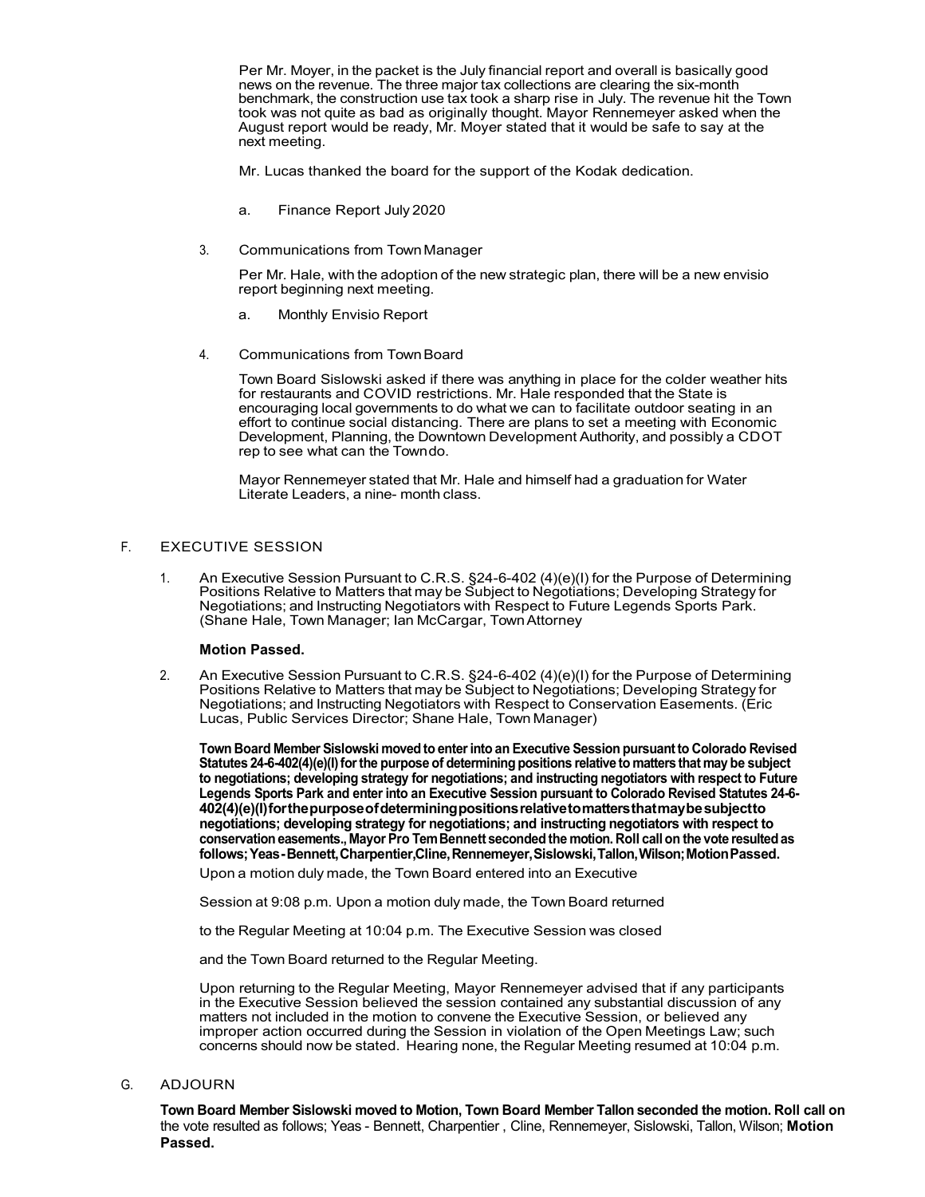Per Mr. Moyer, in the packet is the July financial report and overall is basically good news on the revenue. The three major tax collections are clearing the six-month benchmark, the construction use tax took a sharp rise in July. The revenue hit the Town took was not quite as bad as originally thought. Mayor Rennemeyer asked when the August report would be ready, Mr. Moyer stated that it would be safe to say at the next meeting.

Mr. Lucas thanked the board for the support of the Kodak dedication.

- a. Finance Report July 2020
- 3. Communications from TownManager

Per Mr. Hale, with the adoption of the new strategic plan, there will be a new envisio report beginning next meeting.

- a. Monthly Envisio Report
- 4. Communications from TownBoard

Town Board Sislowski asked if there was anything in place for the colder weather hits for restaurants and COVID restrictions. Mr. Hale responded that the State is encouraging local governments to do what we can to facilitate outdoor seating in an effort to continue social distancing. There are plans to set a meeting with Economic Development, Planning, the Downtown Development Authority, and possibly a CDOT rep to see what can the Towndo.

Mayor Rennemeyer stated that Mr. Hale and himself had a graduation for Water Literate Leaders, a nine- month class.

# F. EXECUTIVE SESSION

1. An Executive Session Pursuant to C.R.S. §24-6-402 (4)(e)(I) for the Purpose of Determining Positions Relative to Matters that may be Subject to Negotiations; Developing Strategy for Negotiations; and Instructing Negotiators with Respect to Future Legends Sports Park. (Shane Hale, Town Manager; Ian McCargar, TownAttorney

# **Motion Passed.**

2. An Executive Session Pursuant to C.R.S. §24-6-402 (4)(e)(I) for the Purpose of Determining Positions Relative to Matters that may be Subject to Negotiations; Developing Strategy for Negotiations; and Instructing Negotiators with Respect to Conservation Easements. (Eric Lucas, Public Services Director; Shane Hale, Town Manager)

**Town Board Member Sislowski moved to enterinto an Executive Session pursuant to Colorado Revised Statutes 24-6-402(4)(e)(I)forthe purpose of determining positions relative to matters that may be subject to negotiations; developing strategy for negotiations; and instructing negotiators with respect to Future Legends Sports Park and enter into an Executive Session pursuant to Colorado Revised Statutes 24-6- 402(4)(e)(I)forthepurposeofdeterminingpositionsrelativetomattersthatmaybesubjectto negotiations; developing strategy for negotiations; and instructing negotiators with respect to conservation easements., Mayor Pro TemBennett seconded the motion. Roll call on the vote resultedas follows;Yeas-Bennett,Charpentier,Cline,Rennemeyer,Sislowski,Tallon,Wilson;MotionPassed.**

Upon a motion duly made, the Town Board entered into an Executive

Session at 9:08 p.m. Upon a motion duly made, the Town Board returned

to the Regular Meeting at 10:04 p.m. The Executive Session was closed

and the Town Board returned to the Regular Meeting.

Upon returning to the Regular Meeting, Mayor Rennemeyer advised that if any participants in the Executive Session believed the session contained any substantial discussion of any matters not included in the motion to convene the Executive Session, or believed any improper action occurred during the Session in violation of the Open Meetings Law; such concerns should now be stated. Hearing none, the Regular Meeting resumed at 10:04 p.m.

G. ADJOURN

**Town Board Member Sislowski moved to Motion, Town Board Member Tallon seconded the motion. Roll call on** the vote resulted as follows; Yeas - Bennett, Charpentier , Cline, Rennemeyer, Sislowski, Tallon, Wilson; **Motion Passed.**